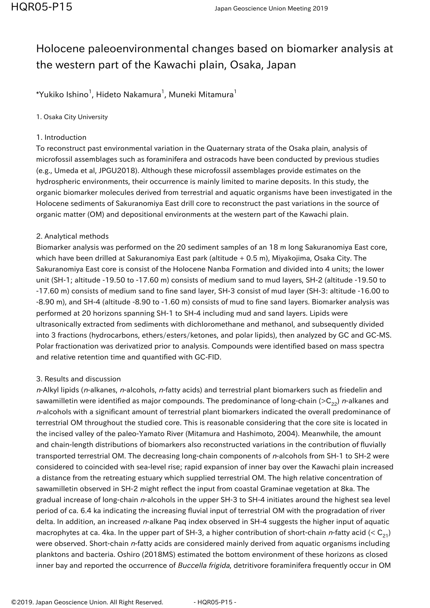## Holocene paleoenvironmental changes based on biomarker analysis at the western part of the Kawachi plain, Osaka, Japan

 $^\ast$ Yukiko Ishino $^1$ , Hideto Nakamura $^1$ , Muneki Mitamura $^1$ 

1. Osaka City University

## 1. Introduction

To reconstruct past environmental variation in the Quaternary strata of the Osaka plain, analysis of microfossil assemblages such as foraminifera and ostracods have been conducted by previous studies (e.g., Umeda et al, JPGU2018). Although these microfossil assemblages provide estimates on the hydrospheric environments, their occurrence is mainly limited to marine deposits. In this study, the organic biomarker molecules derived from terrestrial and aquatic organisms have been investigated in the Holocene sediments of Sakuranomiya East drill core to reconstruct the past variations in the source of organic matter (OM) and depositional environments at the western part of the Kawachi plain.

## 2. Analytical methods

Biomarker analysis was performed on the 20 sediment samples of an 18 m long Sakuranomiya East core, which have been drilled at Sakuranomiya East park (altitude + 0.5 m), Miyakojima, Osaka City. The Sakuranomiya East core is consist of the Holocene Nanba Formation and divided into 4 units; the lower unit (SH-1; altitude -19.50 to -17.60 m) consists of medium sand to mud layers, SH-2 (altitude -19.50 to -17.60 m) consists of medium sand to fine sand layer, SH-3 consist of mud layer (SH-3: altitude -16.00 to -8.90 m), and SH-4 (altitude -8.90 to -1.60 m) consists of mud to fine sand layers. Biomarker analysis was performed at 20 horizons spanning SH-1 to SH-4 including mud and sand layers. Lipids were ultrasonically extracted from sediments with dichloromethane and methanol, and subsequently divided into 3 fractions (hydrocarbons, ethers/esters/ketones, and polar lipids), then analyzed by GC and GC-MS. Polar fractionation was derivatized prior to analysis. Compounds were identified based on mass spectra and relative retention time and quantified with GC-FID.

## 3. Results and discussion

 $n$ -Alkyl lipids ( $n$ -alkanes,  $n$ -alcohols,  $n$ -fatty acids) and terrestrial plant biomarkers such as friedelin and sawamilletin were identified as major compounds. The predominance of long-chain (>C<sub>22</sub>) n-alkanes and n-alcohols with a significant amount of terrestrial plant biomarkers indicated the overall predominance of terrestrial OM throughout the studied core. This is reasonable considering that the core site is located in the incised valley of the paleo-Yamato River (Mitamura and Hashimoto, 2004). Meanwhile, the amount and chain-length distributions of biomarkers also reconstructed variations in the contribution of fluvially transported terrestrial OM. The decreasing long-chain components of n-alcohols from SH-1 to SH-2 were considered to coincided with sea-level rise; rapid expansion of inner bay over the Kawachi plain increased a distance from the retreating estuary which supplied terrestrial OM. The high relative concentration of sawamilletin observed in SH-2 might reflect the input from coastal Graminae vegetation at 8ka. The gradual increase of long-chain n-alcohols in the upper SH-3 to SH-4 initiates around the highest sea level period of ca. 6.4 ka indicating the increasing fluvial input of terrestrial OM with the progradation of river delta. In addition, an increased n-alkane Paq index observed in SH-4 suggests the higher input of aquatic macrophytes at ca. 4ka. In the upper part of SH-3, a higher contribution of short-chain *n*-fatty acid (<  $C_{21}$ ) were observed. Short-chain *n*-fatty acids are considered mainly derived from aquatic organisms including planktons and bacteria. Oshiro (2018MS) estimated the bottom environment of these horizons as closed inner bay and reported the occurrence of Buccella frigida, detritivore foraminifera frequently occur in OM